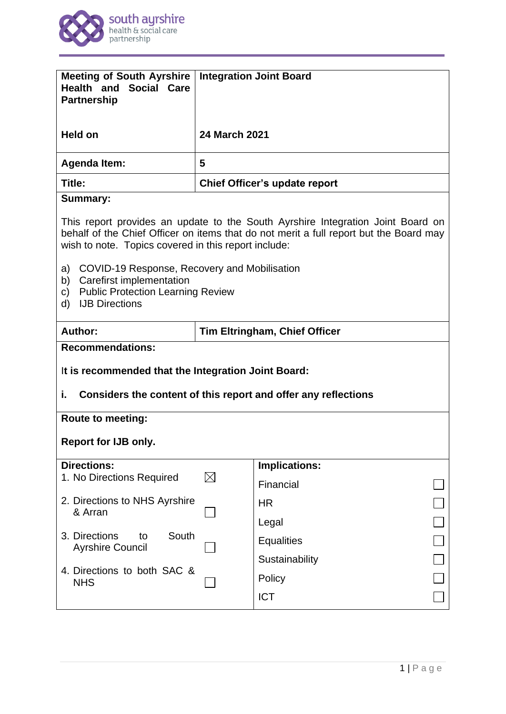

|                                                                                                                                                                                                                                                                                                                                                                                                            | <b>Integration Joint Board</b>                                                    |  |
|------------------------------------------------------------------------------------------------------------------------------------------------------------------------------------------------------------------------------------------------------------------------------------------------------------------------------------------------------------------------------------------------------------|-----------------------------------------------------------------------------------|--|
| <b>24 March 2021</b>                                                                                                                                                                                                                                                                                                                                                                                       |                                                                                   |  |
| 5                                                                                                                                                                                                                                                                                                                                                                                                          |                                                                                   |  |
|                                                                                                                                                                                                                                                                                                                                                                                                            | Chief Officer's update report                                                     |  |
| <b>Summary:</b>                                                                                                                                                                                                                                                                                                                                                                                            |                                                                                   |  |
| This report provides an update to the South Ayrshire Integration Joint Board on<br>behalf of the Chief Officer on items that do not merit a full report but the Board may<br>wish to note. Topics covered in this report include:<br>a)<br>COVID-19 Response, Recovery and Mobilisation<br>Carefirst implementation<br>b)<br><b>Public Protection Learning Review</b><br>C)<br><b>IJB Directions</b><br>d) |                                                                                   |  |
|                                                                                                                                                                                                                                                                                                                                                                                                            | Tim Eltringham, Chief Officer                                                     |  |
| <b>Recommendations:</b>                                                                                                                                                                                                                                                                                                                                                                                    |                                                                                   |  |
| It is recommended that the Integration Joint Board:                                                                                                                                                                                                                                                                                                                                                        |                                                                                   |  |
| Considers the content of this report and offer any reflections<br>i.                                                                                                                                                                                                                                                                                                                                       |                                                                                   |  |
| <b>Route to meeting:</b>                                                                                                                                                                                                                                                                                                                                                                                   |                                                                                   |  |
| <b>Report for IJB only.</b>                                                                                                                                                                                                                                                                                                                                                                                |                                                                                   |  |
|                                                                                                                                                                                                                                                                                                                                                                                                            | <b>Implications:</b>                                                              |  |
| 1. No Directions Required                                                                                                                                                                                                                                                                                                                                                                                  | Financial                                                                         |  |
|                                                                                                                                                                                                                                                                                                                                                                                                            | <b>HR</b>                                                                         |  |
|                                                                                                                                                                                                                                                                                                                                                                                                            | Legal                                                                             |  |
|                                                                                                                                                                                                                                                                                                                                                                                                            | <b>Equalities</b>                                                                 |  |
|                                                                                                                                                                                                                                                                                                                                                                                                            | Sustainability                                                                    |  |
|                                                                                                                                                                                                                                                                                                                                                                                                            | Policy                                                                            |  |
|                                                                                                                                                                                                                                                                                                                                                                                                            | <b>ICT</b>                                                                        |  |
|                                                                                                                                                                                                                                                                                                                                                                                                            | $\times$<br>2. Directions to NHS Ayrshire<br>South<br>4. Directions to both SAC & |  |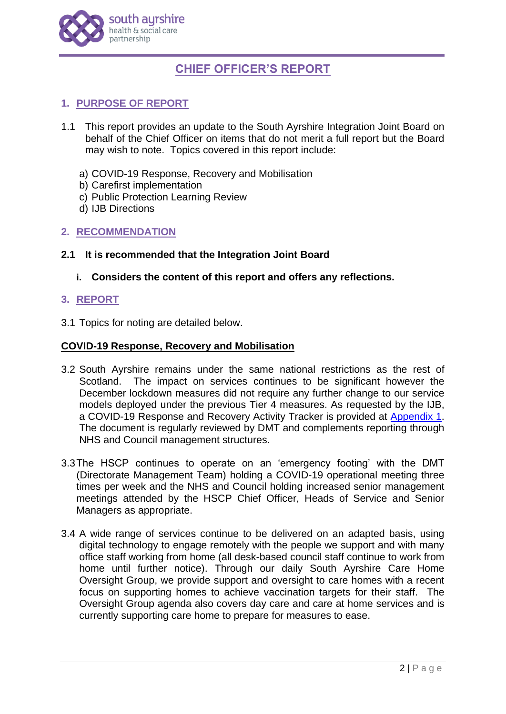

# **CHIEF OFFICER'S REPORT**

# **1. PURPOSE OF REPORT**

- 1.1 This report provides an update to the South Ayrshire Integration Joint Board on behalf of the Chief Officer on items that do not merit a full report but the Board may wish to note. Topics covered in this report include:
	- a) COVID-19 Response, Recovery and Mobilisation
	- b) Carefirst implementation
	- c) Public Protection Learning Review
	- d) IJB Directions

## **2. RECOMMENDATION**

- **2.1 It is recommended that the Integration Joint Board**
	- **i. Considers the content of this report and offers any reflections.**

#### **3. REPORT**

3.1 Topics for noting are detailed below.

#### **COVID-19 Response, Recovery and Mobilisation**

- 3.2 South Ayrshire remains under the same national restrictions as the rest of Scotland. The impact on services continues to be significant however the December lockdown measures did not require any further change to our service models deployed under the previous Tier 4 measures. As requested by the IJB, a COVID-19 Response and Recovery Activity Tracker is provided at [Appendix 1.](http://www.south-ayrshire.gov.uk/health-social-care-partnership/documents/Item%205%20Chief%20Officer%20report%20App1%202021%2003%2024.pdf) The document is regularly reviewed by DMT and complements reporting through NHS and Council management structures.
- 3.3The HSCP continues to operate on an 'emergency footing' with the DMT (Directorate Management Team) holding a COVID-19 operational meeting three times per week and the NHS and Council holding increased senior management meetings attended by the HSCP Chief Officer, Heads of Service and Senior Managers as appropriate.
- 3.4 A wide range of services continue to be delivered on an adapted basis, using digital technology to engage remotely with the people we support and with many office staff working from home (all desk-based council staff continue to work from home until further notice). Through our daily South Ayrshire Care Home Oversight Group, we provide support and oversight to care homes with a recent focus on supporting homes to achieve vaccination targets for their staff. The Oversight Group agenda also covers day care and care at home services and is currently supporting care home to prepare for measures to ease.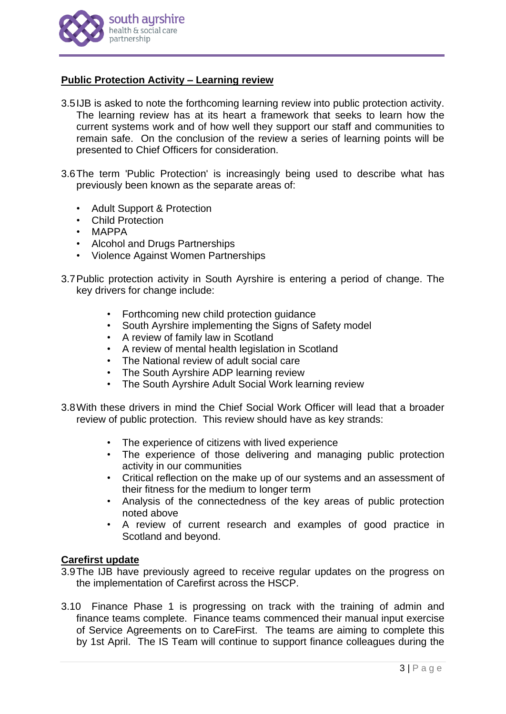

# **Public Protection Activity – Learning review**

- 3.5IJB is asked to note the forthcoming learning review into public protection activity. The learning review has at its heart a framework that seeks to learn how the current systems work and of how well they support our staff and communities to remain safe. On the conclusion of the review a series of learning points will be presented to Chief Officers for consideration.
- 3.6The term 'Public Protection' is increasingly being used to describe what has previously been known as the separate areas of:
	- Adult Support & Protection
	- Child Protection
	- MAPPA
	- Alcohol and Drugs Partnerships
	- Violence Against Women Partnerships
- 3.7Public protection activity in South Ayrshire is entering a period of change. The key drivers for change include:
	- Forthcoming new child protection guidance
	- South Ayrshire implementing the Signs of Safety model
	- A review of family law in Scotland
	- A review of mental health legislation in Scotland
	- The National review of adult social care
	- The South Ayrshire ADP learning review
	- The South Ayrshire Adult Social Work learning review
- 3.8With these drivers in mind the Chief Social Work Officer will lead that a broader review of public protection. This review should have as key strands:
	- The experience of citizens with lived experience
	- The experience of those delivering and managing public protection activity in our communities
	- Critical reflection on the make up of our systems and an assessment of their fitness for the medium to longer term
	- Analysis of the connectedness of the key areas of public protection noted above
	- A review of current research and examples of good practice in Scotland and beyond.

## **Carefirst update**

- 3.9The IJB have previously agreed to receive regular updates on the progress on the implementation of Carefirst across the HSCP.
- 3.10 Finance Phase 1 is progressing on track with the training of admin and finance teams complete. Finance teams commenced their manual input exercise of Service Agreements on to CareFirst. The teams are aiming to complete this by 1st April. The IS Team will continue to support finance colleagues during the